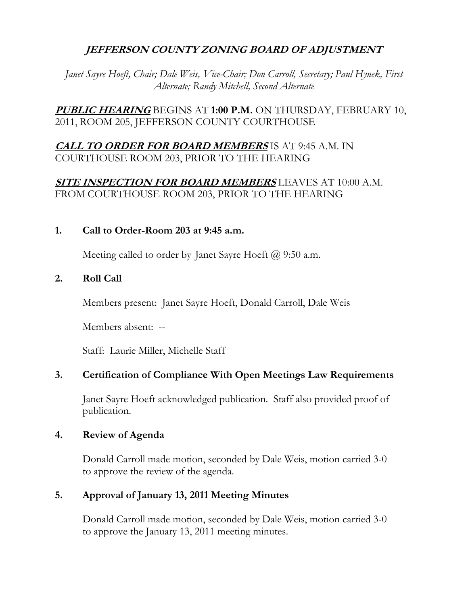# **JEFFERSON COUNTY ZONING BOARD OF ADJUSTMENT**

*Janet Sayre Hoeft, Chair; Dale Weis, Vice-Chair; Don Carroll, Secretary; Paul Hynek, First Alternate; Randy Mitchell, Second Alternate* 

**PUBLIC HEARING** BEGINS AT **1:00 P.M.** ON THURSDAY, FEBRUARY 10, 2011, ROOM 205, JEFFERSON COUNTY COURTHOUSE

# **CALL TO ORDER FOR BOARD MEMBERS** IS AT 9:45 A.M. IN COURTHOUSE ROOM 203, PRIOR TO THE HEARING

# **SITE INSPECTION FOR BOARD MEMBERS** LEAVES AT 10:00 A.M. FROM COURTHOUSE ROOM 203, PRIOR TO THE HEARING

#### **1. Call to Order-Room 203 at 9:45 a.m.**

Meeting called to order by Janet Sayre Hoeft  $\omega$  9:50 a.m.

## **2. Roll Call**

Members present: Janet Sayre Hoeft, Donald Carroll, Dale Weis

Members absent: --

Staff: Laurie Miller, Michelle Staff

## **3. Certification of Compliance With Open Meetings Law Requirements**

 Janet Sayre Hoeft acknowledged publication. Staff also provided proof of publication.

## **4. Review of Agenda**

Donald Carroll made motion, seconded by Dale Weis, motion carried 3-0 to approve the review of the agenda.

## **5. Approval of January 13, 2011 Meeting Minutes**

 Donald Carroll made motion, seconded by Dale Weis, motion carried 3-0 to approve the January 13, 2011 meeting minutes.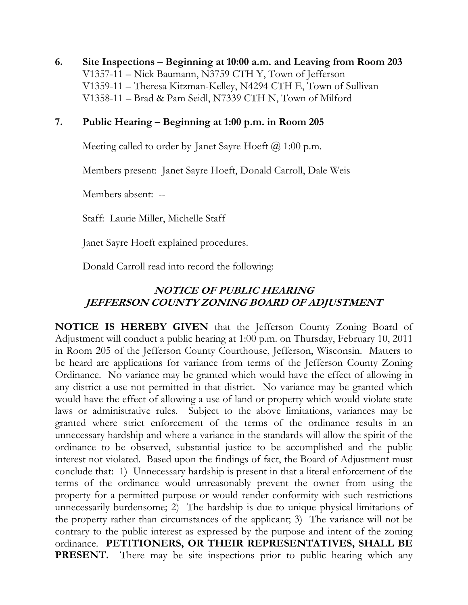**6. Site Inspections – Beginning at 10:00 a.m. and Leaving from Room 203**  V1357-11 – Nick Baumann, N3759 CTH Y, Town of Jefferson V1359-11 – Theresa Kitzman-Kelley, N4294 CTH E, Town of Sullivan V1358-11 – Brad & Pam Seidl, N7339 CTH N, Town of Milford

#### **7. Public Hearing – Beginning at 1:00 p.m. in Room 205**

Meeting called to order by Janet Sayre Hoeft  $\omega$  1:00 p.m.

Members present: Janet Sayre Hoeft, Donald Carroll, Dale Weis

Members absent: --

Staff: Laurie Miller, Michelle Staff

Janet Sayre Hoeft explained procedures.

Donald Carroll read into record the following:

# **NOTICE OF PUBLIC HEARING JEFFERSON COUNTY ZONING BOARD OF ADJUSTMENT**

**NOTICE IS HEREBY GIVEN** that the Jefferson County Zoning Board of Adjustment will conduct a public hearing at 1:00 p.m. on Thursday, February 10, 2011 in Room 205 of the Jefferson County Courthouse, Jefferson, Wisconsin. Matters to be heard are applications for variance from terms of the Jefferson County Zoning Ordinance. No variance may be granted which would have the effect of allowing in any district a use not permitted in that district. No variance may be granted which would have the effect of allowing a use of land or property which would violate state laws or administrative rules. Subject to the above limitations, variances may be granted where strict enforcement of the terms of the ordinance results in an unnecessary hardship and where a variance in the standards will allow the spirit of the ordinance to be observed, substantial justice to be accomplished and the public interest not violated. Based upon the findings of fact, the Board of Adjustment must conclude that: 1) Unnecessary hardship is present in that a literal enforcement of the terms of the ordinance would unreasonably prevent the owner from using the property for a permitted purpose or would render conformity with such restrictions unnecessarily burdensome; 2) The hardship is due to unique physical limitations of the property rather than circumstances of the applicant; 3) The variance will not be contrary to the public interest as expressed by the purpose and intent of the zoning ordinance. **PETITIONERS, OR THEIR REPRESENTATIVES, SHALL BE PRESENT.** There may be site inspections prior to public hearing which any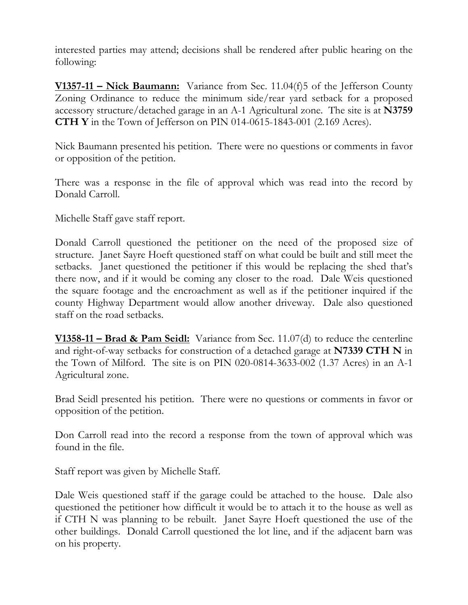interested parties may attend; decisions shall be rendered after public hearing on the following:

**V1357-11 – Nick Baumann:** Variance from Sec. 11.04(f)5 of the Jefferson County Zoning Ordinance to reduce the minimum side/rear yard setback for a proposed accessory structure/detached garage in an A-1 Agricultural zone. The site is at **N3759 CTH Y** in the Town of Jefferson on PIN 014-0615-1843-001 (2.169 Acres).

Nick Baumann presented his petition. There were no questions or comments in favor or opposition of the petition.

There was a response in the file of approval which was read into the record by Donald Carroll.

Michelle Staff gave staff report.

Donald Carroll questioned the petitioner on the need of the proposed size of structure. Janet Sayre Hoeft questioned staff on what could be built and still meet the setbacks. Janet questioned the petitioner if this would be replacing the shed that's there now, and if it would be coming any closer to the road. Dale Weis questioned the square footage and the encroachment as well as if the petitioner inquired if the county Highway Department would allow another driveway. Dale also questioned staff on the road setbacks.

**V1358-11 – Brad & Pam Seidl:** Variance from Sec. 11.07(d) to reduce the centerline and right-of-way setbacks for construction of a detached garage at **N7339 CTH N** in the Town of Milford. The site is on PIN 020-0814-3633-002 (1.37 Acres) in an A-1 Agricultural zone.

Brad Seidl presented his petition. There were no questions or comments in favor or opposition of the petition.

Don Carroll read into the record a response from the town of approval which was found in the file.

Staff report was given by Michelle Staff.

Dale Weis questioned staff if the garage could be attached to the house. Dale also questioned the petitioner how difficult it would be to attach it to the house as well as if CTH N was planning to be rebuilt. Janet Sayre Hoeft questioned the use of the other buildings. Donald Carroll questioned the lot line, and if the adjacent barn was on his property.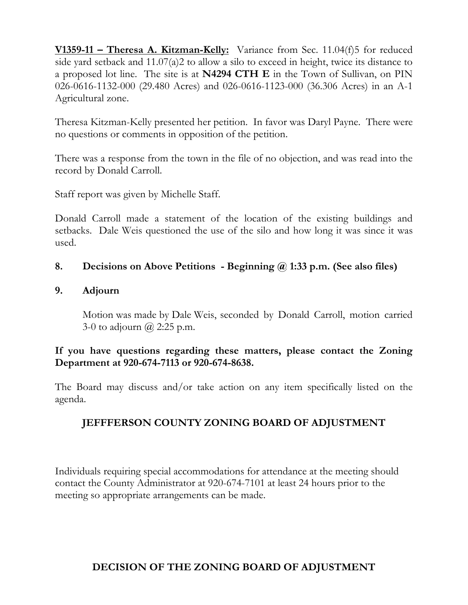**V1359-11 – Theresa A. Kitzman-Kelly:** Variance from Sec. 11.04(f)5 for reduced side yard setback and 11.07(a)2 to allow a silo to exceed in height, twice its distance to a proposed lot line. The site is at **N4294 CTH E** in the Town of Sullivan, on PIN 026-0616-1132-000 (29.480 Acres) and 026-0616-1123-000 (36.306 Acres) in an A-1 Agricultural zone.

Theresa Kitzman-Kelly presented her petition. In favor was Daryl Payne. There were no questions or comments in opposition of the petition.

There was a response from the town in the file of no objection, and was read into the record by Donald Carroll.

Staff report was given by Michelle Staff.

Donald Carroll made a statement of the location of the existing buildings and setbacks. Dale Weis questioned the use of the silo and how long it was since it was used.

## **8. Decisions on Above Petitions - Beginning @ 1:33 p.m. (See also files)**

#### **9. Adjourn**

Motion was made by Dale Weis, seconded by Donald Carroll, motion carried 3-0 to adjourn  $\omega$  2:25 p.m.

## **If you have questions regarding these matters, please contact the Zoning Department at 920-674-7113 or 920-674-8638.**

The Board may discuss and/or take action on any item specifically listed on the agenda.

# **JEFFFERSON COUNTY ZONING BOARD OF ADJUSTMENT**

Individuals requiring special accommodations for attendance at the meeting should contact the County Administrator at 920-674-7101 at least 24 hours prior to the meeting so appropriate arrangements can be made.

# **DECISION OF THE ZONING BOARD OF ADJUSTMENT**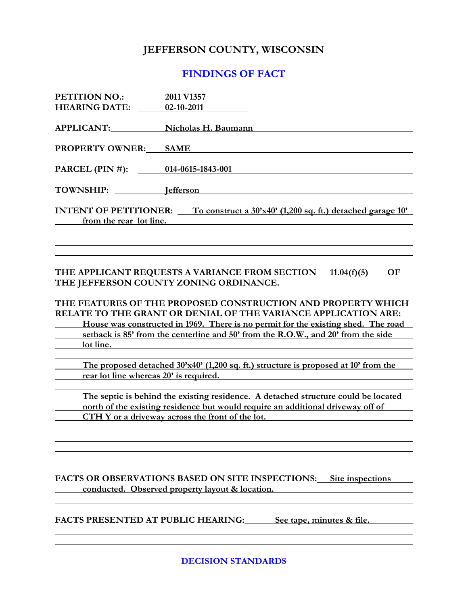#### **JEFFERSON COUNTY, WISCONSIN**

#### **FINDINGS OF FACT**

| <b>PETITION NO.:</b>                                                                      | 2011 V1357          |
|-------------------------------------------------------------------------------------------|---------------------|
| <b>HEARING DATE:</b>                                                                      | 02-10-2011          |
| <b>APPLICANT:</b>                                                                         | Nicholas H. Baumann |
| <b>PROPERTY OWNER:</b>                                                                    | <b>SAME</b>         |
| PARCEL (PIN #): 014-0615-1843-001                                                         |                     |
| TOWNSHIP:                                                                                 | <b>I</b> efferson   |
| INTENT OF PETITIONER: $\qquad$ To construct a 30'x40' (1,200 sq. ft.) detached garage 10' |                     |
| from the rear lot line.                                                                   |                     |
|                                                                                           |                     |
|                                                                                           |                     |

#### THE APPLICANT REQUESTS A VARIANCE FROM SECTION 11.04(f)(5) OF **THE JEFFERSON COUNTY ZONING ORDINANCE.**

#### **THE FEATURES OF THE PROPOSED CONSTRUCTION AND PROPERTY WHICH RELATE TO THE GRANT OR DENIAL OF THE VARIANCE APPLICATION ARE: House was constructed in 1969. There is no permit for the existing shed. The road setback is 85' from the centerline and 50' from the R.O.W., and 20' from the side**

 **lot line.** 

 **The proposed detached 30'x40' (1,200 sq. ft.) structure is proposed at 10' from the rear lot line whereas 20' is required.** 

 **The septic is behind the existing residence. A detached structure could be located north of the existing residence but would require an additional driveway off of CTH Y or a driveway across the front of the lot.** 

#### **FACTS OR OBSERVATIONS BASED ON SITE INSPECTIONS: Site inspections conducted. Observed property layout & location.**

FACTS PRESENTED AT PUBLIC HEARING: See tape, minutes & file.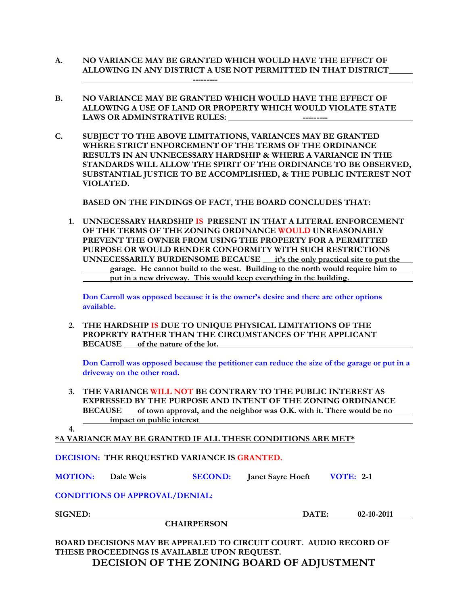- **A. NO VARIANCE MAY BE GRANTED WHICH WOULD HAVE THE EFFECT OF ALLOWING IN ANY DISTRICT A USE NOT PERMITTED IN THAT DISTRICT ---------**
- **B. NO VARIANCE MAY BE GRANTED WHICH WOULD HAVE THE EFFECT OF ALLOWING A USE OF LAND OR PROPERTY WHICH WOULD VIOLATE STATE LAWS OR ADMINSTRATIVE RULES: ---------**
- **C. SUBJECT TO THE ABOVE LIMITATIONS, VARIANCES MAY BE GRANTED WHERE STRICT ENFORCEMENT OF THE TERMS OF THE ORDINANCE RESULTS IN AN UNNECESSARY HARDSHIP & WHERE A VARIANCE IN THE STANDARDS WILL ALLOW THE SPIRIT OF THE ORDINANCE TO BE OBSERVED, SUBSTANTIAL JUSTICE TO BE ACCOMPLISHED, & THE PUBLIC INTEREST NOT VIOLATED.**

 **BASED ON THE FINDINGS OF FACT, THE BOARD CONCLUDES THAT:** 

**1. UNNECESSARY HARDSHIP IS PRESENT IN THAT A LITERAL ENFORCEMENT OF THE TERMS OF THE ZONING ORDINANCE WOULD UNREASONABLY PREVENT THE OWNER FROM USING THE PROPERTY FOR A PERMITTED PURPOSE OR WOULD RENDER CONFORMITY WITH SUCH RESTRICTIONS UNNECESSARILY BURDENSOME BECAUSE it's the only practical site to put the garage. He cannot build to the west. Building to the north would require him to put in a new driveway. This would keep everything in the building.** 

**Don Carroll was opposed because it is the owner's desire and there are other options available.** 

**2. THE HARDSHIP IS DUE TO UNIQUE PHYSICAL LIMITATIONS OF THE PROPERTY RATHER THAN THE CIRCUMSTANCES OF THE APPLICANT BECAUSE of the nature of the lot.** 

**Don Carroll was opposed because the petitioner can reduce the size of the garage or put in a driveway on the other road.** 

**3. THE VARIANCE WILL NOT BE CONTRARY TO THE PUBLIC INTEREST AS EXPRESSED BY THE PURPOSE AND INTENT OF THE ZONING ORDINANCE BECAUSE of town approval, and the neighbor was O.K. with it. There would be no**  *impact on public interest* 

**4.**

**\*A VARIANCE MAY BE GRANTED IF ALL THESE CONDITIONS ARE MET\***

#### **DECISION: THE REQUESTED VARIANCE IS GRANTED.**

**MOTION: Dale Weis SECOND: Janet Sayre Hoeft VOTE: 2-1**

**CONDITIONS OF APPROVAL/DENIAL:** 

 **CHAIRPERSON** 

**SIGNED: DATE: 02-10-2011** 

**BOARD DECISIONS MAY BE APPEALED TO CIRCUIT COURT. AUDIO RECORD OF THESE PROCEEDINGS IS AVAILABLE UPON REQUEST. DECISION OF THE ZONING BOARD OF ADJUSTMENT**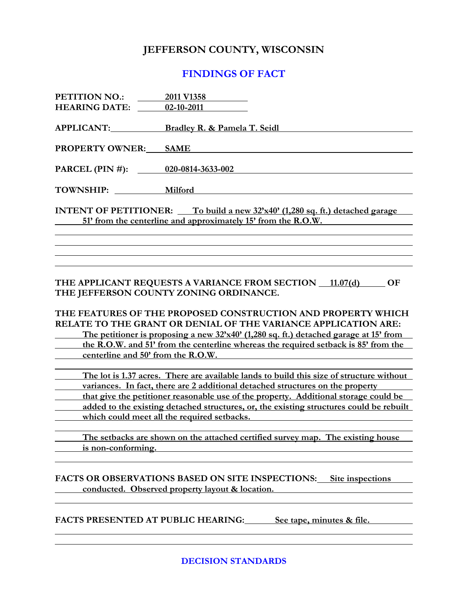#### **JEFFERSON COUNTY, WISCONSIN**

#### **FINDINGS OF FACT**

| <b>PETITION NO.:</b>                                                                  | 2011 V1358                              |  |
|---------------------------------------------------------------------------------------|-----------------------------------------|--|
| <b>HEARING DATE:</b>                                                                  | 02-10-2011                              |  |
|                                                                                       | <b>Bradley R. &amp; Pamela T. Seidl</b> |  |
| <b>PROPERTY OWNER:</b>                                                                | <b>SAME</b>                             |  |
| PARCEL (PIN #): 020-0814-3633-002                                                     |                                         |  |
| TOWNSHIP:                                                                             | <b>Milford</b>                          |  |
| INTENT OF PETITIONER: $\qquad$ To build a new 32'x40' (1,280 sq. ft.) detached garage |                                         |  |
| 51' from the centerline and approximately 15' from the R.O.W.                         |                                         |  |
|                                                                                       |                                         |  |

#### THE APPLICANT REQUESTS A VARIANCE FROM SECTION 11.07(d) OF **THE JEFFERSON COUNTY ZONING ORDINANCE.**

# **THE FEATURES OF THE PROPOSED CONSTRUCTION AND PROPERTY WHICH RELATE TO THE GRANT OR DENIAL OF THE VARIANCE APPLICATION ARE: The petitioner is proposing a new 32'x40' (1,280 sq. ft.) detached garage at 15' from**

 **the R.O.W. and 51' from the centerline whereas the required setback is 85' from the centerline and 50' from the R.O.W.** 

 **The lot is 1.37 acres. There are available lands to build this size of structure without**  *<u>variances. In fact, there are 2 additional detached structures on the property*</u>  **that give the petitioner reasonable use of the property. Additional storage could be added to the existing detached structures, or, the existing structures could be rebuilt which could meet all the required setbacks.** 

 **The setbacks are shown on the attached certified survey map. The existing house is non-conforming.** 

#### **FACTS OR OBSERVATIONS BASED ON SITE INSPECTIONS: Site inspections**  *conducted.* **Observed property layout & location. <b>***conducted.* Observed property layout & location.

FACTS PRESENTED AT PUBLIC HEARING: See tape, minutes & file.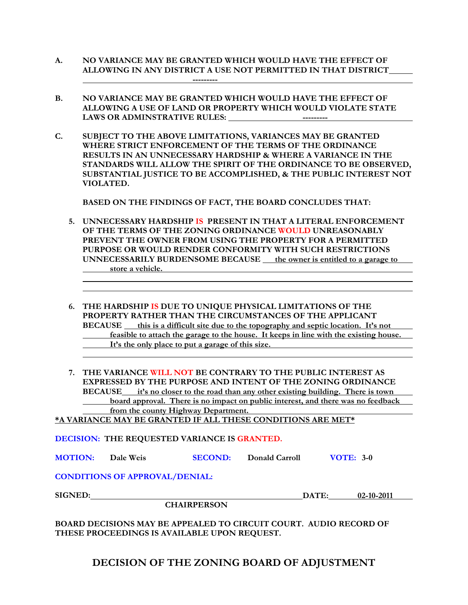- **A. NO VARIANCE MAY BE GRANTED WHICH WOULD HAVE THE EFFECT OF ALLOWING IN ANY DISTRICT A USE NOT PERMITTED IN THAT DISTRICT ---------**
- **B. NO VARIANCE MAY BE GRANTED WHICH WOULD HAVE THE EFFECT OF ALLOWING A USE OF LAND OR PROPERTY WHICH WOULD VIOLATE STATE LAWS OR ADMINSTRATIVE RULES: ---------**
- **C. SUBJECT TO THE ABOVE LIMITATIONS, VARIANCES MAY BE GRANTED WHERE STRICT ENFORCEMENT OF THE TERMS OF THE ORDINANCE RESULTS IN AN UNNECESSARY HARDSHIP & WHERE A VARIANCE IN THE STANDARDS WILL ALLOW THE SPIRIT OF THE ORDINANCE TO BE OBSERVED, SUBSTANTIAL JUSTICE TO BE ACCOMPLISHED, & THE PUBLIC INTEREST NOT VIOLATED.**

 **BASED ON THE FINDINGS OF FACT, THE BOARD CONCLUDES THAT:** 

- **5. UNNECESSARY HARDSHIP IS PRESENT IN THAT A LITERAL ENFORCEMENT OF THE TERMS OF THE ZONING ORDINANCE WOULD UNREASONABLY PREVENT THE OWNER FROM USING THE PROPERTY FOR A PERMITTED PURPOSE OR WOULD RENDER CONFORMITY WITH SUCH RESTRICTIONS UNNECESSARILY BURDENSOME BECAUSE \_\_ the owner is entitled to a garage to store a vehicle.**
- **6. THE HARDSHIP IS DUE TO UNIQUE PHYSICAL LIMITATIONS OF THE PROPERTY RATHER THAN THE CIRCUMSTANCES OF THE APPLICANT BECAUSE** this is a difficult site due to the topography and septic location. It's not  **feasible to attach the garage to the house. It keeps in line with the existing house.**  It's the only place to put a garage of this size.
- **7. THE VARIANCE WILL NOT BE CONTRARY TO THE PUBLIC INTEREST AS EXPRESSED BY THE PURPOSE AND INTENT OF THE ZONING ORDINANCE BECAUSE it's no closer to the road than any other existing building. There is town board approval. There is no impact on public interest, and there was no feedback from the county Highway Department.**

**\*A VARIANCE MAY BE GRANTED IF ALL THESE CONDITIONS ARE MET\***

**DECISION: THE REQUESTED VARIANCE IS GRANTED.** 

**MOTION: Dale Weis SECOND: Donald Carroll VOTE: 3-0**

**CONDITIONS OF APPROVAL/DENIAL:** 

**SIGNED: DATE: 02-10-2011** 

**BOARD DECISIONS MAY BE APPEALED TO CIRCUIT COURT. AUDIO RECORD OF THESE PROCEEDINGS IS AVAILABLE UPON REQUEST.** 

**DECISION OF THE ZONING BOARD OF ADJUSTMENT** 

# **CHAIRPERSON**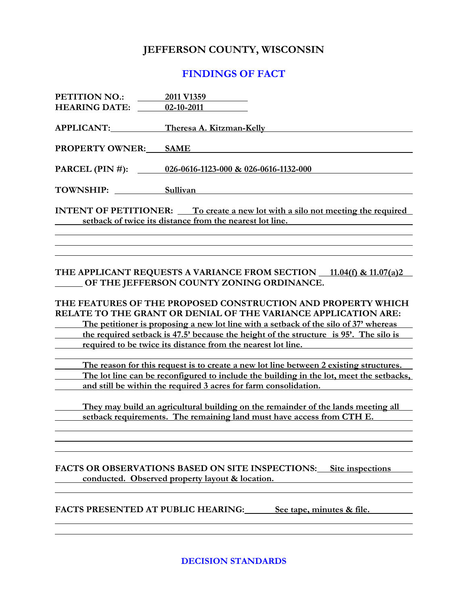#### **JEFFERSON COUNTY, WISCONSIN**

#### **FINDINGS OF FACT**

| PETITION NO.:<br><b>HEARING DATE:</b> 02-10-2011 | 2011 V1359                                                                                                                                                                                                                                                                                                                                                                       |
|--------------------------------------------------|----------------------------------------------------------------------------------------------------------------------------------------------------------------------------------------------------------------------------------------------------------------------------------------------------------------------------------------------------------------------------------|
| APPLICANT:                                       | Theresa A. Kitzman-Kelly                                                                                                                                                                                                                                                                                                                                                         |
| <b>PROPERTY OWNER: SAME</b>                      |                                                                                                                                                                                                                                                                                                                                                                                  |
|                                                  | PARCEL (PIN #): 026-0616-1123-000 & 026-0616-1132-000                                                                                                                                                                                                                                                                                                                            |
| TOWNSHIP:                                        | Sullivan                                                                                                                                                                                                                                                                                                                                                                         |
|                                                  | <b>INTENT OF PETITIONER:</b> To create a new lot with a silo not meeting the required<br>setback of twice its distance from the nearest lot line.                                                                                                                                                                                                                                |
|                                                  | THE APPLICANT REQUESTS A VARIANCE FROM SECTION 11.04(f) & 11.07(a)2<br>OF THE JEFFERSON COUNTY ZONING ORDINANCE.                                                                                                                                                                                                                                                                 |
|                                                  | THE FEATURES OF THE PROPOSED CONSTRUCTION AND PROPERTY WHICH<br>RELATE TO THE GRANT OR DENIAL OF THE VARIANCE APPLICATION ARE:<br>The petitioner is proposing a new lot line with a setback of the silo of 37' whereas<br>the required set back is 47.5' because the height of the structure is 95'. The silo is<br>required to be twice its distance from the nearest lot line. |

 **The reason for this request is to create a new lot line between 2 existing structures. The lot line can be reconfigured to include the building in the lot, meet the setbacks, and still be within the required 3 acres for farm consolidation.** 

 **They may build an agricultural building on the remainder of the lands meeting all setback requirements. The remaining land must have access from CTH E.** 

**FACTS OR OBSERVATIONS BASED ON SITE INSPECTIONS: Site inspections conducted.** Observed property layout & location.

FACTS PRESENTED AT PUBLIC HEARING: See tape, minutes & file.